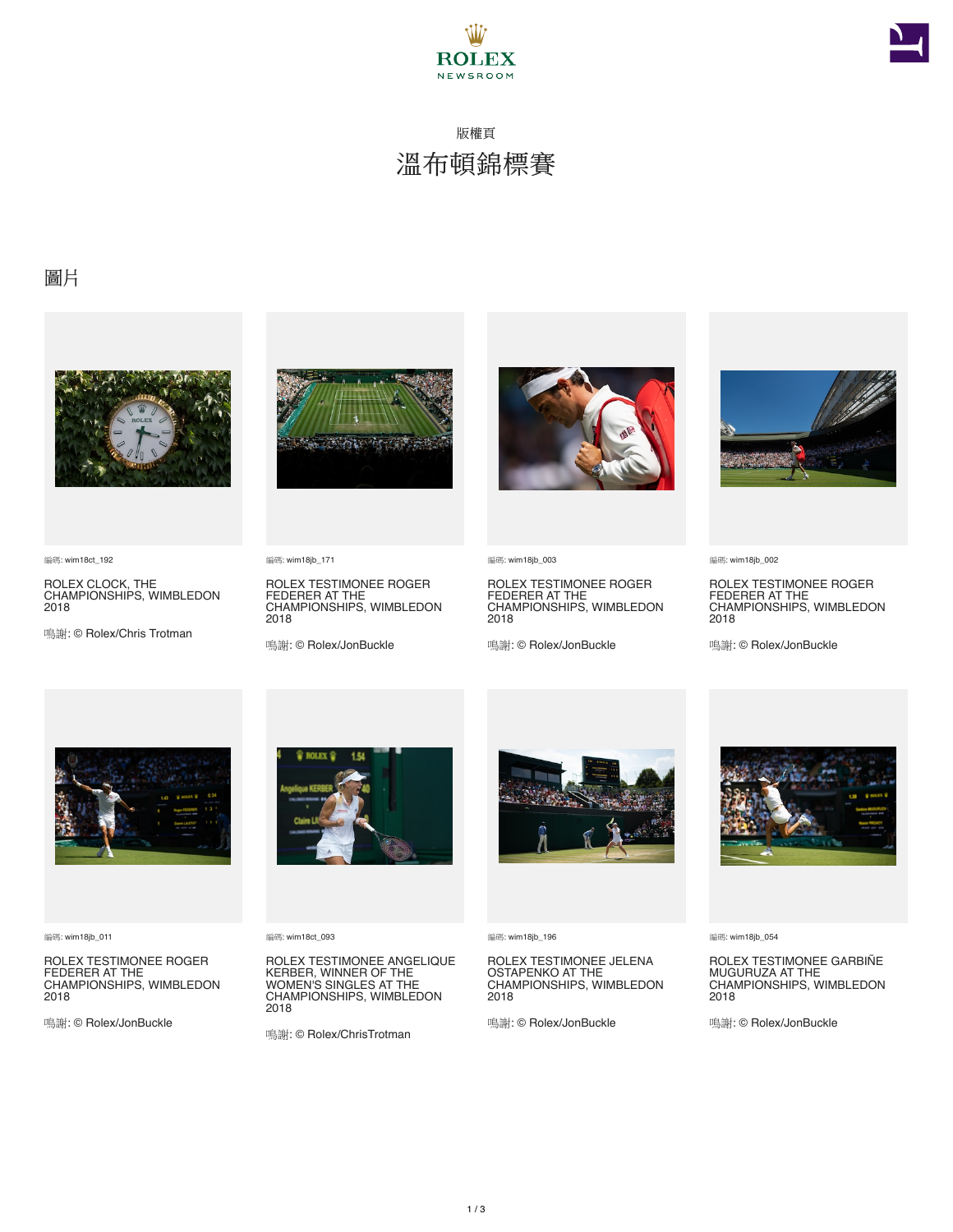



## 版權頁 溫布頓錦標賽

## 圖片



編碼: wim18ct\_192

ROLEX CLOCK, THE CHAMPIONSHIPS, WIMBLEDON 2018

鳴謝: © Rolex/Chris Trotman



編碼: wim18jb\_171

ROLEX TESTIMONEE ROGER FEDERER AT THE CHAMPIONSHIPS, WIMBLEDON 2018

鳴謝: © Rolex/JonBuckle



編碼: wim18jb\_003

ROLEX TESTIMONEE ROGER FEDERER AT THE CHAMPIONSHIPS, WIMBLEDON 2018

鳴謝: © Rolex/JonBuckle



編碼: wim18jb\_002

ROLEX TESTIMONEE ROGER FEDERER AT THE CHAMPIONSHIPS, WIMBLEDON 2018

鳴謝: © Rolex/JonBuckle



編碼: wim18jb\_011

ROLEX TESTIMONEE ROGER FEDERER AT THE CHAMPIONSHIPS, WIMBLEDON 2018

鳴謝: © Rolex/JonBuckle



編碼: wim18ct\_093

ROLEX TESTIMONEE ANGELIQUE KERBER, WINNER OF THE WOMEN'S SINGLES AT THE CHAMPIONSHIPS, WIMBLEDON 2018

鳴謝: © Rolex/ChrisTrotman



編碼: wim18jb\_196

ROLEX TESTIMONEE JELENA OSTAPENKO AT THE CHAMPIONSHIPS, WIMBLEDON 2018

鳴謝: © Rolex/JonBuckle



編碼: wim18jb\_054

ROLEX TESTIMONEE GARBIÑE MUGURUZA AT THE CHAMPIONSHIPS, WIMBLEDON 2018

鳴謝: © Rolex/JonBuckle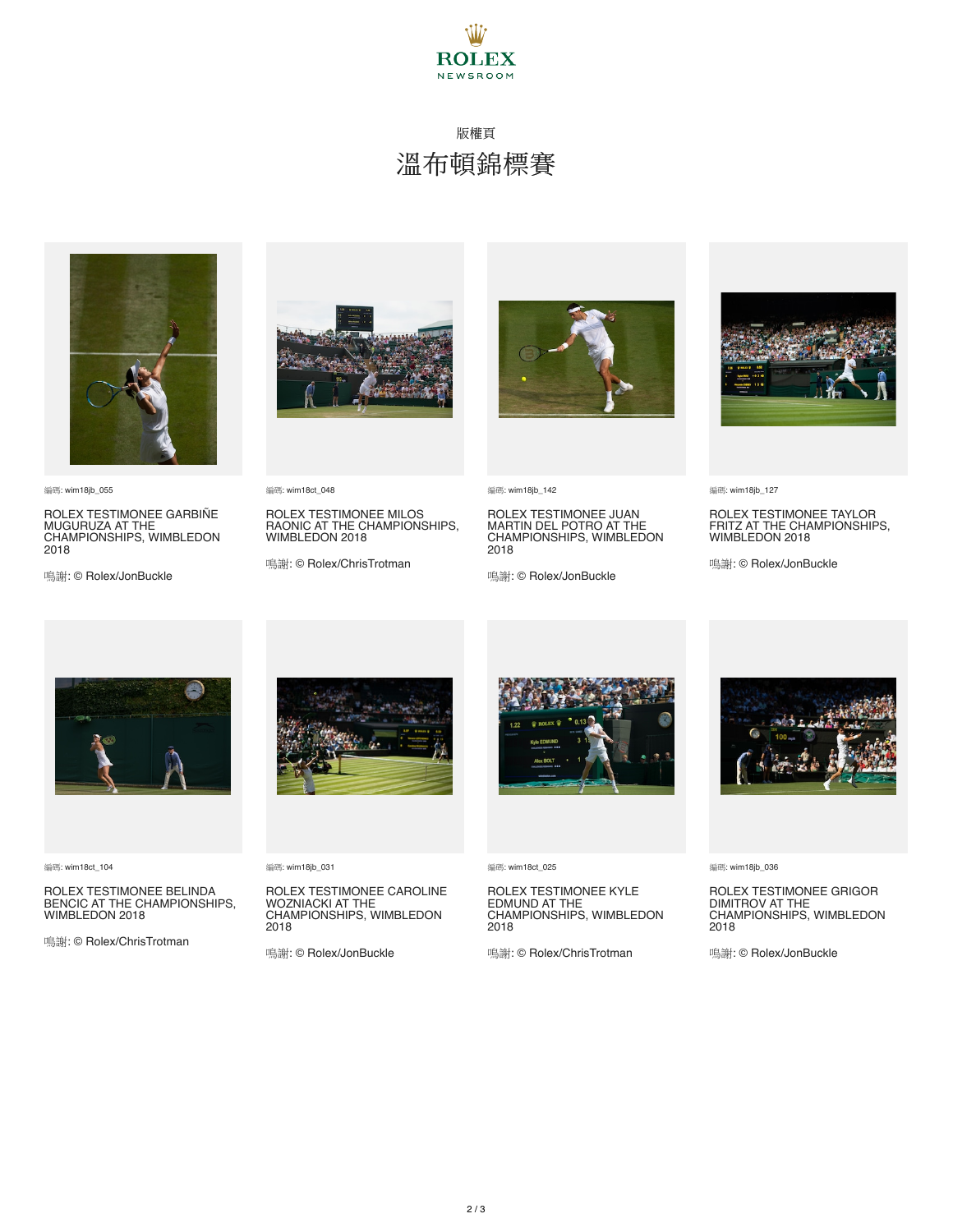

## 版權頁 溫布頓錦標賽



編碼: wim18jb\_055

ROLEX TESTIMONEE GARBINE<br>MUGURUZA AT THE<br>CHAMPIONSHIPS, WIMBLEDON 2018

鳴謝: © Rolex/JonBuckle



編碼: wim18ct\_048

ROLEX TESTIMONEE MILOS RAONIC AT THE CHAMPIONSHIPS, WIMBLEDON 2018

鳴謝: © Rolex/ChrisTrotman



編碼: wim18jb\_142

ROLEX TESTIMONEE JUAN MARTIN DEL POTRO AT THE CHAMPIONSHIPS, WIMBLEDON 2018

鳴謝: © Rolex/JonBuckle



編碼: wim18jb\_127

ROLEX TESTIMONEE TAYLOR FRITZ AT THE CHAMPIONSHIPS, WIMBLEDON 2018

鳴謝: © Rolex/JonBuckle



編碼: wim18ct\_104

ROLEX TESTIMONEE BELINDA BENCIC AT THE CHAMPIONSHIPS, WIMBLEDON 2018

鳴謝: © Rolex/ChrisTrotman



編碼: wim18jb\_031

ROLEX TESTIMONEE CAROLINE WOZNIACKI AT THE CHAMPIONSHIPS, WIMBLEDON 2018

鳴謝: © Rolex/JonBuckle



編碼: wim18ct\_025

ROLEX TESTIMONEE KYLE EDMUND AT THE CHAMPIONSHIPS, WIMBLEDON 2018

鳴謝: © Rolex/ChrisTrotman



編碼: wim18jb\_036

ROLEX TESTIMONEE GRIGOR DIMITROV AT THE CHAMPIONSHIPS, WIMBLEDON 2018

鳴謝: © Rolex/JonBuckle